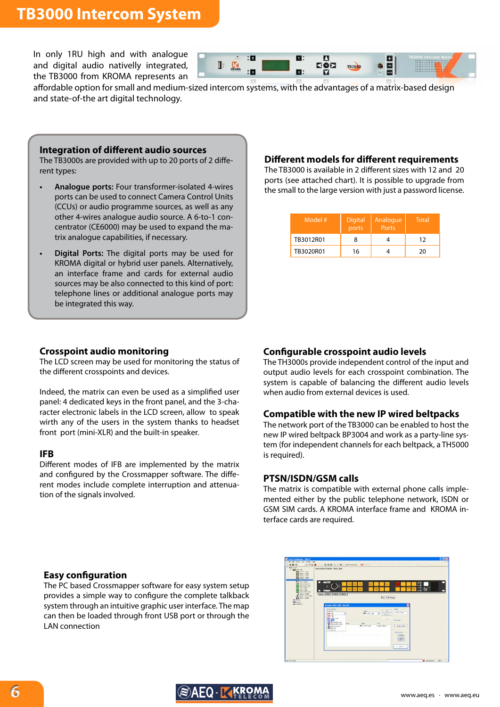## **TB3000 Intercom System**





affordable option for small and medium-sized intercom systems, with the advantages of a matrix-based design and state-of-the art digital technology.

#### **Integration of different audio sources**

The TB3000s are provided with up to 20 ports of 2 different types:

- **• Analogue ports:** Four transformer-isolated 4-wires ports can be used to connect Camera Control Units (CCUs) or audio programme sources, as well as any other 4-wires analogue audio source. A 6-to-1 concentrator (CE6000) may be used to expand the matrix analogue capabilities, if necessary.
- **Digital Ports:** The digital ports may be used for KROMA digital or hybrid user panels. Alternatively, an interface frame and cards for external audio sources may be also connected to this kind of port: telephone lines or additional analogue ports may be integrated this way.

#### **Different models for different requirements**

The TB3000 is available in 2 different sizes with 12 and 20 ports (see attached chart). It is possible to upgrade from the small to the large version with just a password license.

| Model #   | <b>Digital</b><br>ports | Analogue<br>Ports | <b>Total</b> |
|-----------|-------------------------|-------------------|--------------|
| TB3012R01 |                         |                   | 12           |
| TB3020R01 | 16                      |                   | 20           |

#### **Crosspoint audio monitoring**

The LCD screen may be used for monitoring the status of the different crosspoints and devices.

Indeed, the matrix can even be used as a simplified user panel: 4 dedicated keys in the front panel, and the 3-character electronic labels in the LCD screen, allow to speak wirth any of the users in the system thanks to headset front port (mini-XLR) and the built-in speaker.

#### **IFB**

Different modes of IFB are implemented by the matrix and configured by the Crossmapper software. The different modes include complete interruption and attenuation of the signals involved.

#### **Configurable crosspoint audio levels**

The TH3000s provide independent control of the input and output audio levels for each crosspoint combination. The system is capable of balancing the different audio levels when audio from external devices is used.

#### **Compatible with the new IP wired beltpacks**

The network port of the TB3000 can be enabled to host the new IP wired beltpack BP3004 and work as a party-line system (for independent channels for each beltpack, a TH5000 is required).

#### **PTSN/ISDN/GSM calls**

The matrix is compatible with external phone calls implemented either by the public telephone network, ISDN or GSM SIM cards. A KROMA interface frame and KROMA interface cards are required.

#### **Easy configuration**

The PC based Crossmapper software for easy system setup provides a simple way to configure the complete talkback system through an intuitive graphic user interface. The map can then be loaded through front USB port or through the LAN connection